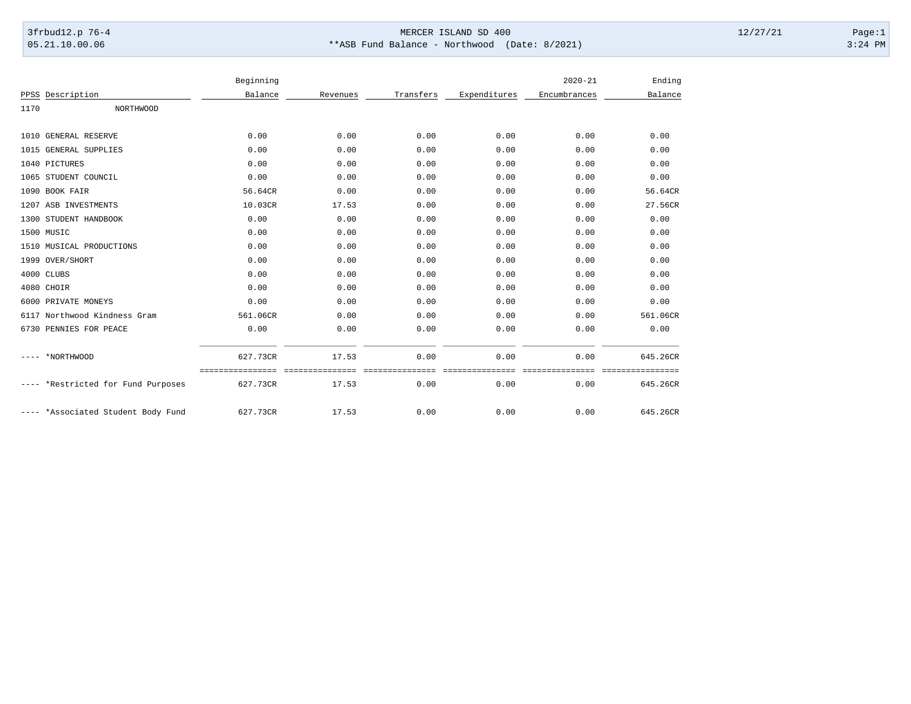## 3frbud12.p 76-4 Page:1 05.21.10.00.06 \*\*ASB Fund Balance - Northwood (Date: 8/2021) 3:24 PM

|                                 | Beginning |                 |               |              | $2020 - 21$  | Ending           |
|---------------------------------|-----------|-----------------|---------------|--------------|--------------|------------------|
| Description<br>PPSS             | Balance   | Revenues        | Transfers     | Expenditures | Encumbrances | Balance          |
| 1170<br><b>NORTHWOOD</b>        |           |                 |               |              |              |                  |
|                                 |           |                 |               |              |              |                  |
| <b>GENERAL RESERVE</b><br>1010  | 0.00      | 0.00            | 0.00          | 0.00         | 0.00         | 0.00             |
| <b>GENERAL SUPPLIES</b><br>1015 | 0.00      | 0.00            | 0.00          | 0.00         | 0.00         | 0.00             |
| 1040<br>PICTURES                | 0.00      | 0.00            | 0.00          | 0.00         | 0.00         | 0.00             |
| 1065<br>STUDENT COUNCIL         | 0.00      | 0.00            | 0.00          | 0.00         | 0.00         | 0.00             |
| BOOK FAIR<br>1090               | 56.64CR   | 0.00            | 0.00          | 0.00         | 0.00         | 56.64CR          |
| ASB INVESTMENTS<br>1207         | 10.03CR   | 17.53           | 0.00          | 0.00         | 0.00         | 27.56CR          |
| STUDENT HANDBOOK<br>1300        | 0.00      | 0.00            | 0.00          | 0.00         | 0.00         | 0.00             |
| 1500 MUSIC                      | 0.00      | 0.00            | 0.00          | 0.00         | 0.00         | 0.00             |
| MUSICAL PRODUCTIONS<br>1510     | 0.00      | 0.00            | 0.00          | 0.00         | 0.00         | 0.00             |
| 1999 OVER/SHORT                 | 0.00      | 0.00            | 0.00          | 0.00         | 0.00         | 0.00             |
| 4000<br>CLUBS                   | 0.00      | 0.00            | 0.00          | 0.00         | 0.00         | 0.00             |
| 4080 CHOIR                      | 0.00      | 0.00            | 0.00          | 0.00         | 0.00         | 0.00             |
| PRIVATE MONEYS<br>6000          | 0.00      | 0.00            | 0.00          | 0.00         | 0.00         | 0.00             |
| 6117 Northwood Kindness Gram    | 561.06CR  | 0.00            | 0.00          | 0.00         | 0.00         | 561.06CR         |
| 6730 PENNIES FOR PEACE          | 0.00      | 0.00            | 0.00          | 0.00         | 0.00         | 0.00             |
| *NORTHWOOD                      | 627.73CR  | 17.53           | 0.00          | 0.00         | 0.00         | 645.26CR         |
|                                 |           | =============== | ============= |              |              | ================ |
| *Restricted for Fund Purposes   | 627.73CR  | 17.53           | 0.00          | 0.00         | 0.00         | 645.26CR         |
| *Associated Student Body Fund   | 627.73CR  | 17.53           | 0.00          | 0.00         | 0.00         | 645.26CR         |